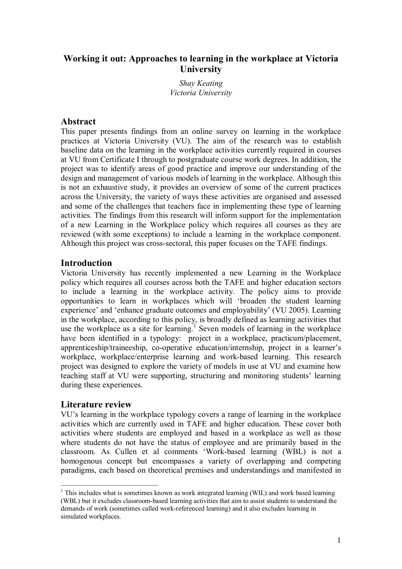# **Working it out: Approaches to learning in the workplace at Victoria University**

*Shay Keating Victoria University*

### **Abstract**

This paper presents findings from an online survey on learning in the workplace practices at Victoria University (VU). The aim of the research was to establish baseline data on the learning in the workplace activities currently required in courses at VU from Certificate I through to postgraduate course work degrees. In addition, the project was to identify areas of good practice and improve our understanding of the design and management of various models of learning in the workplace. Although this is not an exhaustive study, it provides an overview of some of the current practices across the University, the variety of ways these activities are organised and assessed and some of the challenges that teachers face in implementing these type of learning activities. The findings from this research will inform support for the implementation of a new Learning in the Workplace policy which requires all courses as they are reviewed (with some exceptions) to include a learning in the workplace component. Although this project was cross-sectoral, this paper focuses on the TAFE findings.

### **Introduction**

Victoria University has recently implemented a new Learning in the Workplace policy which requires all courses across both the TAFE and higher education sectors to include a learning in the workplace activity. The policy aims to provide opportunities to learn in workplaces which will 'broaden the student learning experience' and 'enhance graduate outcomes and employability' (VU 2005). Learning in the workplace, according to this policy, is broadly defined as learning activities that use the workplace as a site for learning.<sup>1</sup> Seven models of learning in the workplace have been identified in a typology: project in a workplace, practicum/placement, apprenticeship/traineeship, co-operative education/internship, project in a learner's workplace, workplace/enterprise learning and work-based learning. This research project was designed to explore the variety of models in use at VU and examine how teaching staff at VU were supporting, structuring and monitoring students' learning during these experiences.

### **Literature review**

VU's learning in the workplace typology covers a range of learning in the workplace activities which are currently used in TAFE and higher education. These cover both activities where students are employed and based in a workplace as well as those where students do not have the status of employee and are primarily based in the classroom. As Cullen et al comments 'Work-based learning (WBL) is not a homogenous concept but encompasses a variety of overlapping and competing paradigms, each based on theoretical premises and understandings and manifested in

<sup>&</sup>lt;sup>1</sup> This includes what is sometimes known as work integrated learning (WIL) and work based learning (WBL) but it excludes classroom-based learning activities that aim to assist students to understand the demands of work (sometimes called work-referenced learning) and it also excludes learning in simulated workplaces.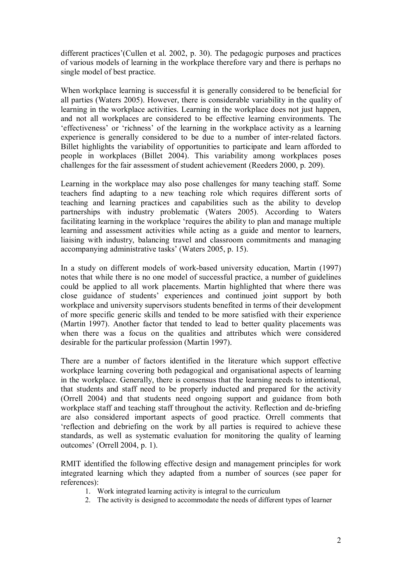different practices'(Cullen et al. 2002, p. 30). The pedagogic purposes and practices of various models of learning in the workplace therefore vary and there is perhaps no single model of best practice.

When workplace learning is successful it is generally considered to be beneficial for all parties (Waters 2005). However, there is considerable variability in the quality of learning in the workplace activities. Learning in the workplace does not just happen, and not all workplaces are considered to be effective learning environments. The 'effectiveness' or 'richness' of the learning in the workplace activity as a learning experience is generally considered to be due to a number of inter-related factors. Billet highlights the variability of opportunities to participate and learn afforded to people in workplaces (Billet 2004). This variability among workplaces poses challenges for the fair assessment of student achievement (Reeders 2000, p. 209).

Learning in the workplace may also pose challenges for many teaching staff. Some teachers find adapting to a new teaching role which requires different sorts of teaching and learning practices and capabilities such as the ability to develop partnerships with industry problematic (Waters 2005). According to Waters facilitating learning in the workplace 'requires the ability to plan and manage multiple learning and assessment activities while acting as a guide and mentor to learners, liaising with industry, balancing travel and classroom commitments and managing accompanying administrative tasks' (Waters 2005, p. 15).

In a study on different models of work-based university education, Martin (1997) notes that while there is no one model of successful practice, a number of guidelines could be applied to all work placements. Martin highlighted that where there was close guidance of students' experiences and continued joint support by both workplace and university supervisors students benefited in terms of their development of more specific generic skills and tended to be more satisfied with their experience (Martin 1997). Another factor that tended to lead to better quality placements was when there was a focus on the qualities and attributes which were considered desirable for the particular profession (Martin 1997).

There are a number of factors identified in the literature which support effective workplace learning covering both pedagogical and organisational aspects of learning in the workplace. Generally, there is consensus that the learning needs to intentional, that students and staff need to be properly inducted and prepared for the activity (Orrell 2004) and that students need ongoing support and guidance from both workplace staff and teaching staff throughout the activity. Reflection and de-briefing are also considered important aspects of good practice. Orrell comments that 'reflection and debriefing on the work by all parties is required to achieve these standards, as well as systematic evaluation for monitoring the quality of learning outcomes' (Orrell 2004, p. 1).

RMIT identified the following effective design and management principles for work integrated learning which they adapted from a number of sources (see paper for references):

- 1. Work integrated learning activity is integral to the curriculum
- 2. The activity is designed to accommodate the needs of different types of learner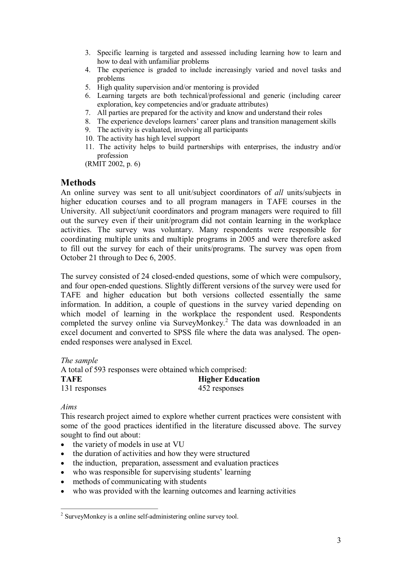- 3. Specific learning is targeted and assessed including learning how to learn and how to deal with unfamiliar problems
- 4. The experience is graded to include increasingly varied and novel tasks and problems
- 5. High quality supervision and/or mentoring is provided
- 6. Learning targets are both technical/professional and generic (including career exploration, key competencies and/or graduate attributes)
- 7. All parties are prepared for the activity and know and understand their roles
- 8. The experience develops learners' career plans and transition management skills
- 9. The activity is evaluated, involving all participants
- 10. The activity has high level support
- 11. The activity helps to build partnerships with enterprises, the industry and/or profession

(RMIT 2002, p. 6)

### **Methods**

An online survey was sent to all unit/subject coordinators of *all* units/subjects in higher education courses and to all program managers in TAFE courses in the University. All subject/unit coordinators and program managers were required to fill out the survey even if their unit/program did not contain learning in the workplace activities. The survey was voluntary. Many respondents were responsible for coordinating multiple units and multiple programs in 2005 and were therefore asked to fill out the survey for each of their units/programs. The survey was open from October 21 through to Dec 6, 2005.

The survey consisted of 24 closed-ended questions, some of which were compulsory, and four open-ended questions. Slightly different versions of the survey were used for TAFE and higher education but both versions collected essentially the same information. In addition, a couple of questions in the survey varied depending on which model of learning in the workplace the respondent used. Respondents completed the survey online via SurveyMonkey.<sup>2</sup> The data was downloaded in an excel document and converted to SPSS file where the data was analysed. The open ended responses were analysed in Excel.

*The sample* A total of 593 responses were obtained which comprised: **TAFE Higher Education** 131 responses 452 responses

*Aims*

This research project aimed to explore whether current practices were consistent with some of the good practices identified in the literature discussed above. The survey sought to find out about:

- the variety of models in use at VU
- the duration of activities and how they were structured
- · the induction, preparation, assessment and evaluation practices
- who was responsible for supervising students' learning
- methods of communicating with students
- who was provided with the learning outcomes and learning activities

<sup>&</sup>lt;sup>2</sup> SurveyMonkey is a online self-administering online survey tool.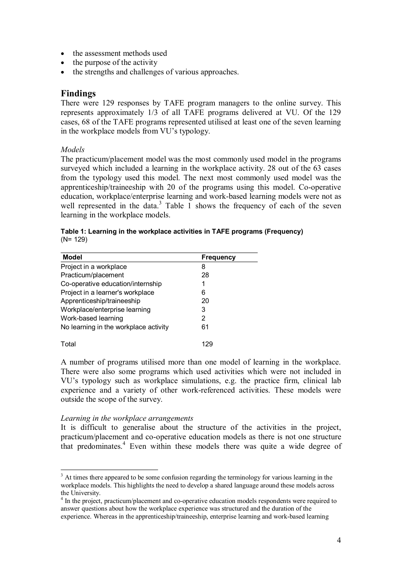- the assessment methods used
- the purpose of the activity
- the strengths and challenges of various approaches.

### **Findings**

There were 129 responses by TAFE program managers to the online survey. This represents approximately 1/3 of all TAFE programs delivered at VU. Of the 129 cases, 68 of the TAFE programs represented utilised at least one of the seven learning in the workplace models from VU's typology.

*Models*

The practicum/placement model was the most commonly used model in the programs surveyed which included a learning in the workplace activity. 28 out of the 63 cases from the typology used this model. The next most commonly used model was the apprenticeship/traineeship with 20 of the programs using this model. Co-operative education, workplace/enterprise learning and work-based learning models were not as well represented in the data. $3$  Table 1 shows the frequency of each of the seven learning in the workplace models.

| Model                                 | Frequency |
|---------------------------------------|-----------|
| Project in a workplace                | 8         |
| Practicum/placement                   | 28        |
| Co-operative education/internship     |           |
| Project in a learner's workplace      | 6         |
| Apprenticeship/traineeship            | 20        |
| Workplace/enterprise learning         | 3         |
| Work-based learning                   | 2         |
| No learning in the workplace activity | 61        |
| Tota <sup>'</sup>                     |           |

**Table 1: Learning in the workplace activities in TAFE programs (Frequency)** (N= 129)

A number of programs utilised more than one model of learning in the workplace. There were also some programs which used activities which were not included in VU's typology such as workplace simulations, e.g. the practice firm, clinical lab experience and a variety of other work-referenced activities. These models were outside the scope of the survey.

#### *Learning in the workplace arrangements*

It is difficult to generalise about the structure of the activities in the project, practicum/placement and co-operative education models as there is not one structure that predominates. $4$  Even within these models there was quite a wide degree of

<sup>&</sup>lt;sup>3</sup> At times there appeared to be some confusion regarding the terminology for various learning in the workplace models. This highlights the need to develop a shared language around these models across the University.<br><sup>4</sup> In the project, practicum/placement and co-operative education models respondents were required to

answer questions about how the workplace experience was structured and the duration of the experience. Whereas in the apprenticeship/traineeship, enterprise learning and work-based learning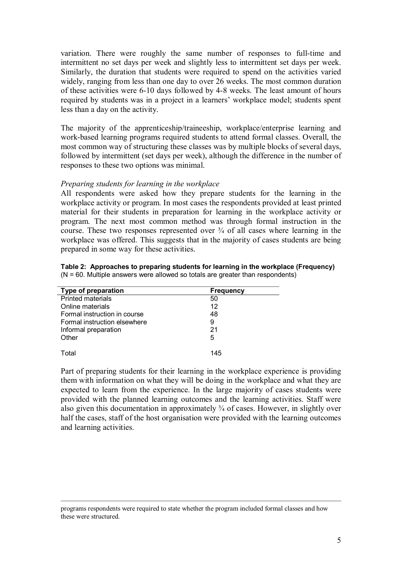variation. There were roughly the same number of responses to full-time and intermittent no set days per week and slightly less to intermittent set days per week. Similarly, the duration that students were required to spend on the activities varied widely, ranging from less than one day to over 26 weeks. The most common duration of these activities were 610 days followed by 48 weeks. The least amount of hours required by students was in a project in a learners' workplace model; students spent less than a day on the activity.

The majority of the apprenticeship/traineeship, workplace/enterprise learning and work-based learning programs required students to attend formal classes. Overall, the most common way of structuring these classes was by multiple blocks of several days, followed by intermittent (set days per week), although the difference in the number of responses to these two options was minimal.

#### *Preparing students for learning in the workplace*

All respondents were asked how they prepare students for the learning in the workplace activity or program. In most cases the respondents provided at least printed material for their students in preparation for learning in the workplace activity or program. The next most common method was through formal instruction in the course. These two responses represented over  $\frac{3}{4}$  of all cases where learning in the workplace was offered. This suggests that in the majority of cases students are being prepared in some way for these activities.

| Table 2: Approaches to preparing students for learning in the workplace (Frequency) |
|-------------------------------------------------------------------------------------|
| $(N = 60$ . Multiple answers were allowed so totals are greater than respondents)   |

| <b>Frequency</b> |  |
|------------------|--|
| 50               |  |
| 12               |  |
| 48               |  |
| 9                |  |
| 21               |  |
| 5                |  |
|                  |  |
| 145              |  |
|                  |  |

Part of preparing students for their learning in the workplace experience is providing them with information on what they will be doing in the workplace and what they are expected to learn from the experience. In the large majority of cases students were provided with the planned learning outcomes and the learning activities. Staff were also given this documentation in approximately ¾ of cases. However, in slightly over half the cases, staff of the host organisation were provided with the learning outcomes and learning activities.

programs respondents were required to state whether the program included formal classes and how these were structured.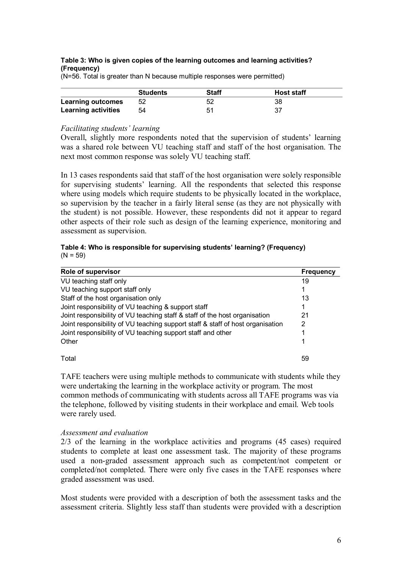#### **Table 3: Who is given copies of the learning outcomes and learning activities? (Frequency)**

(N=56. Total is greater than N because multiple responses were permitted)

|                            | <b>Students</b> | <b>Staff</b> | <b>Host staff</b> |
|----------------------------|-----------------|--------------|-------------------|
| <b>Learning outcomes</b>   | 52              | 52           | 38                |
| <b>Learning activities</b> | 54              | 51           |                   |

#### *Facilitating students' learning*

Overall, slightly more respondents noted that the supervision of students' learning was a shared role between VU teaching staff and staff of the host organisation. The next most common response was solely VU teaching staff.

In 13 cases respondents said that staff of the host organisation were solely responsible for supervising students' learning. All the respondents that selected this response where using models which require students to be physically located in the workplace, so supervision by the teacher in a fairly literal sense (as they are not physically with the student) is not possible. However, these respondents did not it appear to regard other aspects of their role such as design of the learning experience, monitoring and assessment as supervision.

#### **Table 4: Who is responsible for supervising students' learning? (Frequency)**  $(N = 59)$

| Role of supervisor                                                             | <b>Frequency</b> |
|--------------------------------------------------------------------------------|------------------|
| VU teaching staff only                                                         | 19               |
| VU teaching support staff only                                                 |                  |
| Staff of the host organisation only                                            | 13               |
| Joint responsibility of VU teaching & support staff                            |                  |
| Joint responsibility of VU teaching staff & staff of the host organisation     | 21               |
| Joint responsibility of VU teaching support staff & staff of host organisation | 2                |
| Joint responsibility of VU teaching support staff and other                    |                  |
| Other                                                                          |                  |
| Total                                                                          | 59               |

TAFE teachers were using multiple methods to communicate with students while they were undertaking the learning in the workplace activity or program. The most common methods of communicating with students across all TAFE programs was via the telephone, followed by visiting students in their workplace and email. Web tools were rarely used.

#### *Assessment and evaluation*

2/3 of the learning in the workplace activities and programs (45 cases) required students to complete at least one assessment task. The majority of these programs used a non-graded assessment approach such as competent/not competent or completed/not completed. There were only five cases in the TAFE responses where graded assessment was used.

Most students were provided with a description of both the assessment tasks and the assessment criteria. Slightly less staff than students were provided with a description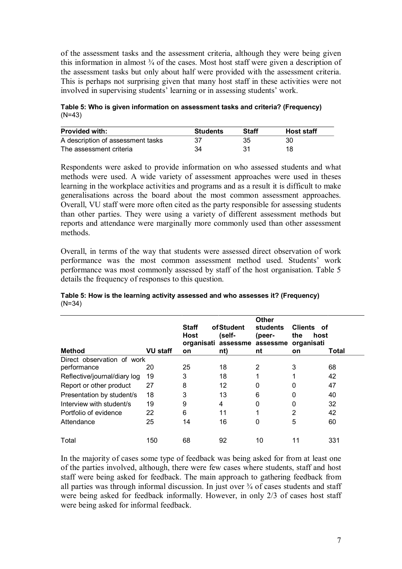of the assessment tasks and the assessment criteria, although they were being given this information in almost  $\frac{3}{4}$  of the cases. Most host staff were given a description of the assessment tasks but only about half were provided with the assessment criteria. This is perhaps not surprising given that many host staff in these activities were not involved in supervising students' learning or in assessing students' work.

**Table 5: Who is given information on assessment tasks and criteria? (Frequency)** (N=43)

| <b>Provided with:</b>             | <b>Students</b> | Staff | <b>Host staff</b> |
|-----------------------------------|-----------------|-------|-------------------|
| A description of assessment tasks |                 | 35    | 30                |
| The assessment criteria           | 34              | 31    | 18                |

Respondents were asked to provide information on who assessed students and what methods were used. A wide variety of assessment approaches were used in theses learning in the workplace activities and programs and as a result it is difficult to make generalisations across the board about the most common assessment approaches. Overall, VU staff were more often cited as the party responsible for assessing students than other parties. They were using a variety of different assessment methods but reports and attendance were marginally more commonly used than other assessment methods.

Overall, in terms of the way that students were assessed direct observation of work performance was the most common assessment method used. Students' work performance was most commonly assessed by staff of the host organisation. Table 5 details the frequency of responses to this question.

| Table 5: How is the learning activity assessed and who assesses it? (Frequency) |  |
|---------------------------------------------------------------------------------|--|
| $(N=34)$                                                                        |  |

|                              |                 | <b>Staff</b><br><b>Host</b> | of Student<br>(self- | <b>Other</b><br><b>students</b><br>(peer-<br>organisati assessme assessme | Clients of<br>the<br>host<br>organisati |       |
|------------------------------|-----------------|-----------------------------|----------------------|---------------------------------------------------------------------------|-----------------------------------------|-------|
| <b>Method</b>                | <b>VU staff</b> | <b>on</b>                   | nt)                  | nt                                                                        | <b>on</b>                               | Total |
| Direct observation of work   |                 |                             |                      |                                                                           |                                         |       |
| performance                  | 20              | 25                          | 18                   | 2                                                                         | 3                                       | 68    |
| Reflective/journal/diary log | 19              | 3                           | 18                   | 1                                                                         |                                         | 42    |
| Report or other product      | 27              | 8                           | 12                   | 0                                                                         | 0                                       | 47    |
| Presentation by student/s    | 18              | 3                           | 13                   | 6                                                                         | 0                                       | 40    |
| Interview with student/s     | 19              | 9                           | 4                    | 0                                                                         | 0                                       | 32    |
| Portfolio of evidence        | 22              | 6                           | 11                   | 1                                                                         | $\overline{2}$                          | 42    |
| Attendance                   | 25              | 14                          | 16                   | 0                                                                         | 5                                       | 60    |
| Total                        | 150             | 68                          | 92                   | 10                                                                        |                                         | 331   |

In the majority of cases some type of feedback was being asked for from at least one of the parties involved, although, there were few cases where students, staff and host staff were being asked for feedback. The main approach to gathering feedback from all parties was through informal discussion. In just over ¾ of cases students and staff were being asked for feedback informally. However, in only 2/3 of cases host staff were being asked for informal feedback.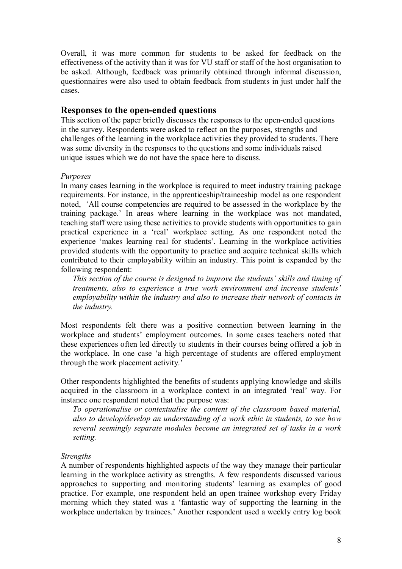Overall, it was more common for students to be asked for feedback on the effectiveness of the activity than it was for VU staff or staff of the host organisation to be asked. Although, feedback was primarily obtained through informal discussion, questionnaires were also used to obtain feedback from students in just under half the cases.

### **Responses** to the open-ended questions

This section of the paper briefly discusses the responses to the open-ended questions in the survey. Respondents were asked to reflect on the purposes, strengths and challenges of the learning in the workplace activities they provided to students. There was some diversity in the responses to the questions and some individuals raised unique issues which we do not have the space here to discuss.

### *Purposes*

In many cases learning in the workplace is required to meet industry training package requirements. For instance, in the apprenticeship/traineeship model as one respondent noted, 'All course competencies are required to be assessed in the workplace by the training package.' In areas where learning in the workplace was not mandated, teaching staff were using these activities to provide students with opportunities to gain practical experience in a 'real' workplace setting. As one respondent noted the experience 'makes learning real for students'. Learning in the workplace activities provided students with the opportunity to practice and acquire technical skills which contributed to their employability within an industry. This point is expanded by the following respondent:

*This section of the course is designed to improve the students' skills and timing of treatments, also to experience a true work environment and increase students' employability within the industry and also to increase their network of contacts in the industry.*

Most respondents felt there was a positive connection between learning in the workplace and students' employment outcomes. In some cases teachers noted that these experiences often led directly to students in their courses being offered a job in the workplace. In one case 'a high percentage of students are offered employment through the work placement activity.'

Other respondents highlighted the benefits of students applying knowledge and skills acquired in the classroom in a workplace context in an integrated 'real' way. For instance one respondent noted that the purpose was:

*To operationalise or contextualise the content of the classroom based material, also to develop/develop an understanding of a work ethic in students, to see how several seemingly separate modules become an integrated set of tasks in a work setting.*

### *Strengths*

A number of respondents highlighted aspects of the way they manage their particular learning in the workplace activity as strengths. A few respondents discussed various approaches to supporting and monitoring students' learning as examples of good practice. For example, one respondent held an open trainee workshop every Friday morning which they stated was a 'fantastic way of supporting the learning in the workplace undertaken by trainees.' Another respondent used a weekly entry log book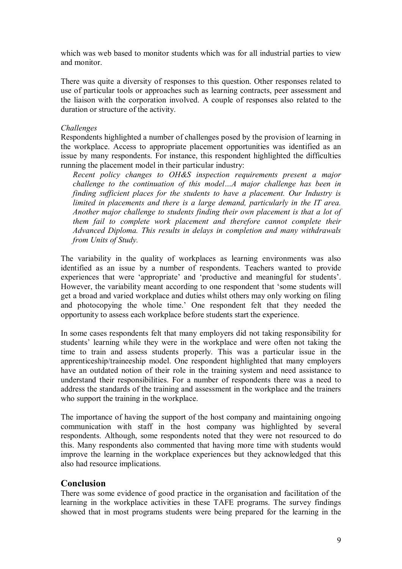which was web based to monitor students which was for all industrial parties to view and monitor.

There was quite a diversity of responses to this question. Other responses related to use of particular tools or approaches such as learning contracts, peer assessment and the liaison with the corporation involved. A couple of responses also related to the duration or structure of the activity.

### *Challenges*

Respondents highlighted a number of challenges posed by the provision of learning in the workplace. Access to appropriate placement opportunities was identified as an issue by many respondents. For instance, this respondent highlighted the difficulties running the placement model in their particular industry:

*Recent policy changes to OH&S inspection requirements present a major challenge to the continuation of this model…A major challenge has been in finding sufficient places for the students to have a placement. Our Industry is limited in placements and there is a large demand, particularly in the IT area. Another major challenge to students finding their own placement is that a lot of them fail to complete work placement and therefore cannot complete their Advanced Diploma. This results in delays in completion and many withdrawals from Units of Study.*

The variability in the quality of workplaces as learning environments was also identified as an issue by a number of respondents. Teachers wanted to provide experiences that were 'appropriate' and 'productive and meaningful for students'. However, the variability meant according to one respondent that 'some students will get a broad and varied workplace and duties whilst others may only working on filing and photocopying the whole time.' One respondent felt that they needed the opportunity to assess each workplace before students start the experience.

In some cases respondents felt that many employers did not taking responsibility for students' learning while they were in the workplace and were often not taking the time to train and assess students properly. This was a particular issue in the apprenticeship/traineeship model. One respondent highlighted that many employers have an outdated notion of their role in the training system and need assistance to understand their responsibilities. For a number of respondents there was a need to address the standards of the training and assessment in the workplace and the trainers who support the training in the workplace.

The importance of having the support of the host company and maintaining ongoing communication with staff in the host company was highlighted by several respondents. Although, some respondents noted that they were not resourced to do this. Many respondents also commented that having more time with students would improve the learning in the workplace experiences but they acknowledged that this also had resource implications.

## **Conclusion**

There was some evidence of good practice in the organisation and facilitation of the learning in the workplace activities in these TAFE programs. The survey findings showed that in most programs students were being prepared for the learning in the